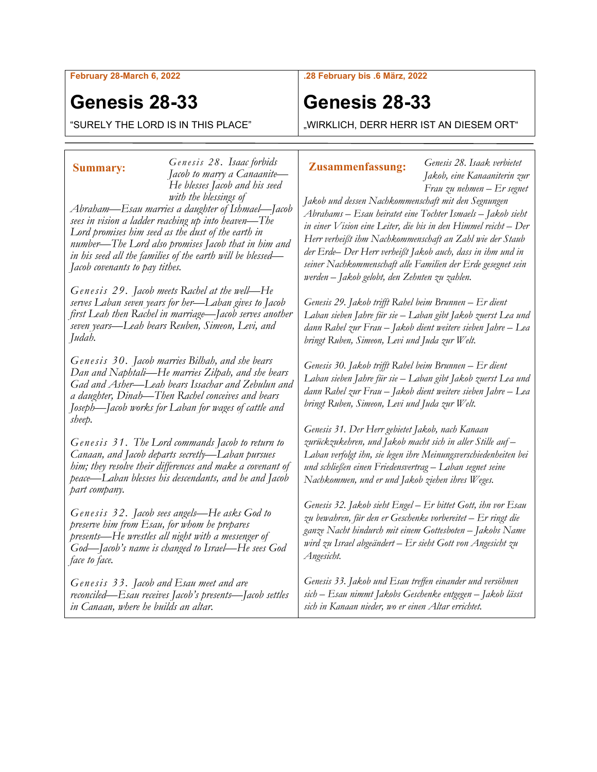**February 28-March 6, 2022**

# **Genesis 28-33**

"SURELY THE LORD IS IN THIS PLACE"

### **.28 February bis .6 März, 2022**

# **Genesis 28-33**

"WIRKLICH, DERR HERR IST AN DIESEM ORT"

*Genesis 28. Isaac forbids Jacob to marry a Canaanite— He blesses Jacob and his seed with the blessings of*  **Summary: Genesis 26. Isaac formulas Zusammenfassung:** 

*Abraham—Esau marries a daughter of Ishmael—Jacob sees in vision a ladder reaching up into heaven—The Lord promises him seed as the dust of the earth in number—The Lord also promises Jacob that in him and in his seed all the families of the earth will be blessed— Jacob covenants to pay tithes.*

*Genesis 29. Jacob meets Rachel at the well—He serves Laban seven years for her—Laban gives to Jacob first Leah then Rachel in marriage—Jacob serves another seven years—Leah bears Reuben, Simeon, Levi, and Judah.*

*Genesis 30. Jacob marries Bilhah, and she bears Dan and Naphtali—He marries Zilpah, and she bears Gad and Asher—Leah bears Issachar and Zebulun and a daughter, Dinah—Then Rachel conceives and bears Joseph—Jacob works for Laban for wages of cattle and sheep.*

*Genesis 31. The Lord commands Jacob to return to Canaan, and Jacob departs secretly—Laban pursues him; they resolve their differences and make a covenant of peace—Laban blesses his descendants, and he and Jacob part company.*

*Genesis 32. Jacob sees angels—He asks God to preserve him from Esau, for whom he prepares presents—He wrestles all night with a messenger of God—Jacob's name is changed to Israel—He sees God face to face.*

*Genesis 33. Jacob and Esau meet and are reconciled—Esau receives Jacob's presents—Jacob settles in Canaan, where he builds an altar.*

*Genesis 28. Isaak verbietet Jakob, eine Kanaaniterin zur Frau zu nehmen – Er segnet* 

*Jakob und dessen Nachkommenschaft mit den Segnungen Abrahams – Esau heiratet eine Tochter Ismaels – Jakob sieht in einer Vision eine Leiter, die bis in den Himmel reicht – Der Herr verheißt ihm Nachkommenschaft an Zahl wie der Staub der Erde– Der Herr verheißt Jakob auch, dass in ihm und in seiner Nachkommenschaft alle Familien der Erde gesegnet sein werden – Jakob gelobt, den Zehnten zu zahlen.*

*Genesis 29. Jakob trifft Rahel beim Brunnen – Er dient Laban sieben Jahre für sie – Laban gibt Jakob zuerst Lea und dann Rahel zur Frau – Jakob dient weitere sieben Jahre – Lea bringt Ruben, Simeon, Levi und Juda zur Welt.*

*Genesis 30. Jakob trifft Rahel beim Brunnen – Er dient Laban sieben Jahre für sie – Laban gibt Jakob zuerst Lea und dann Rahel zur Frau – Jakob dient weitere sieben Jahre – Lea bringt Ruben, Simeon, Levi und Juda zur Welt.*

*Genesis 31. Der Herr gebietet Jakob, nach Kanaan zurückzukehren, und Jakob macht sich in aller Stille auf – Laban verfolgt ihn, sie legen ihre Meinungsverschiedenheiten bei und schließen einen Friedensvertrag – Laban segnet seine Nachkommen, und er und Jakob ziehen ihres Weges.*

*Genesis 32. Jakob sieht Engel – Er bittet Gott, ihn vor Esau zu bewahren, für den er Geschenke vorbereitet – Er ringt die ganze Nacht hindurch mit einem Gottesboten – Jakobs Name wird zu Israel abgeändert – Er sieht Gott von Angesicht zu Angesicht.*

*Genesis 33. Jakob und Esau treffen einander und versöhnen sich – Esau nimmt Jakobs Geschenke entgegen – Jakob lässt sich in Kanaan nieder, wo er einen Altar errichtet.*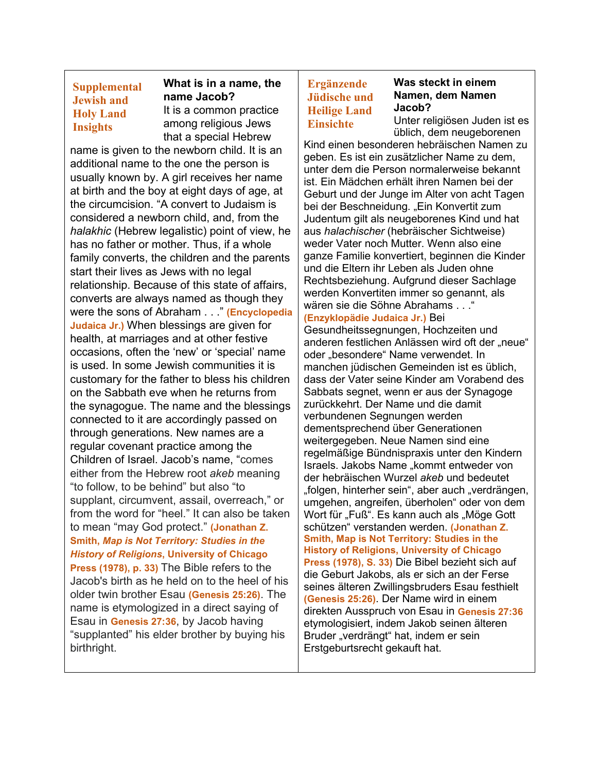# **Supplemental Jewish and Holy Land Insights**

# **What is in a name, the name Jacob?**

It is a common practice among religious Jews that a special Hebrew

name is given to the newborn child. It is an additional name to the one the person is usually known by. A girl receives her name at birth and the boy at eight days of age, at the circumcision. "A convert to Judaism is considered a newborn child, and, from the *halakhic* (Hebrew legalistic) point of view, he has no father or mother. Thus, if a whole family converts, the children and the parents start their lives as Jews with no legal relationship. Because of this state of affairs, converts are always named as though they were the sons of Abraham . . ." **(Encyclopedia Judaica Jr.)** When blessings are given for health, at marriages and at other festive occasions, often the 'new' or 'special' name is used. In some Jewish communities it is customary for the father to bless his children on the Sabbath eve when he returns from the synagogue. The name and the blessings connected to it are accordingly passed on through generations. New names are a regular covenant practice among the Children of Israel. Jacob's name, "comes either from the Hebrew root *akeb* meaning "to follow, to be behind" but also "to supplant, circumvent, assail, overreach," or from the word for "heel." It can also be taken to mean "may God protect." **(Jonathan Z. Smith,** *Map is Not Territory: Studies in the History of Religions***, University of Chicago Press (1978), p. 33)** The Bible refers to the Jacob's birth as he held on to the heel of his older twin brother Esau **(Genesis 25:26)**. The name is etymologized in a direct saying of Esau in **Genesis 27:36**, by Jacob having "supplanted" his elder brother by buying his birthright.

# **Ergänzende Jüdische und Heilige Land Einsichte**

## **Was steckt in einem Namen, dem Namen Jacob?**

Unter religiösen Juden ist es üblich, dem neugeborenen

Kind einen besonderen hebräischen Namen zu geben. Es ist ein zusätzlicher Name zu dem, unter dem die Person normalerweise bekannt ist. Ein Mädchen erhält ihren Namen bei der Geburt und der Junge im Alter von acht Tagen bei der Beschneidung. "Ein Konvertit zum Judentum gilt als neugeborenes Kind und hat aus *halachischer* (hebräischer Sichtweise) weder Vater noch Mutter. Wenn also eine ganze Familie konvertiert, beginnen die Kinder und die Eltern ihr Leben als Juden ohne Rechtsbeziehung. Aufgrund dieser Sachlage werden Konvertiten immer so genannt, als wären sie die Söhne Abrahams . . ."

# **(Enzyklopädie Judaica Jr.)** Bei

Gesundheitssegnungen, Hochzeiten und anderen festlichen Anlässen wird oft der "neue" oder "besondere" Name verwendet. In manchen jüdischen Gemeinden ist es üblich, dass der Vater seine Kinder am Vorabend des Sabbats segnet, wenn er aus der Synagoge zurückkehrt. Der Name und die damit verbundenen Segnungen werden dementsprechend über Generationen weitergegeben. Neue Namen sind eine regelmäßige Bündnispraxis unter den Kindern Israels. Jakobs Name "kommt entweder von der hebräischen Wurzel *akeb* und bedeutet "folgen, hinterher sein", aber auch "verdrängen, umgehen, angreifen, überholen" oder von dem Wort für "Fuß". Es kann auch als "Möge Gott schützen" verstanden werden. **(Jonathan Z. Smith, Map is Not Territory: Studies in the History of Religions, University of Chicago Press (1978), S. 33)** Die Bibel bezieht sich auf die Geburt Jakobs, als er sich an der Ferse seines älteren Zwillingsbruders Esau festhielt **(Genesis 25:26)**. Der Name wird in einem direkten Ausspruch von Esau in **Genesis 27:36** etymologisiert, indem Jakob seinen älteren Bruder "verdrängt" hat, indem er sein Erstgeburtsrecht gekauft hat.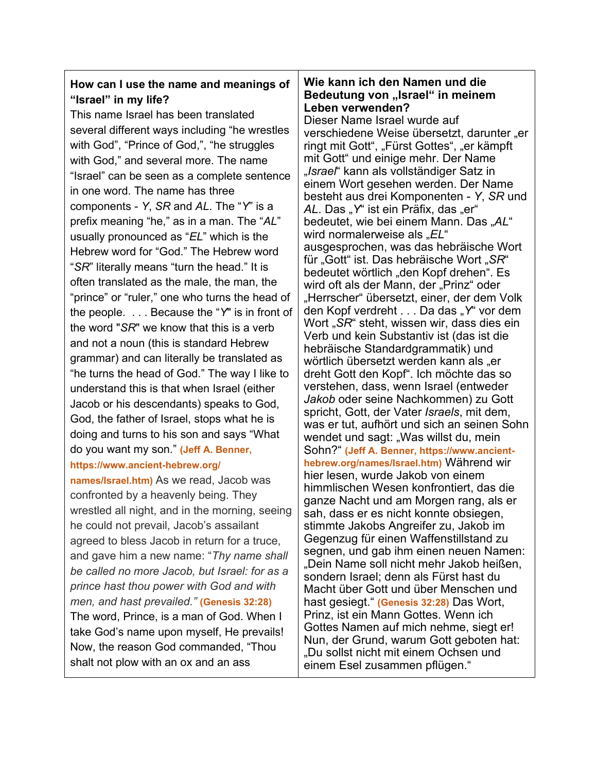# **How can I use the name and meanings of "Israel" in my life?**

This name Israel has been translated several different ways including "he wrestles with God", "Prince of God,", "he struggles with God," and several more. The name "Israel" can be seen as a complete sentence in one word. The name has three components - *Y*, *SR* and *AL*. The "*Y*" is a prefix meaning "he," as in a man. The "*AL*" usually pronounced as "*EL*" which is the Hebrew word for "God." The Hebrew word "*SR*" literally means "turn the head." It is often translated as the male, the man, the "prince" or "ruler," one who turns the head of the people. . . . Because the "*Y*" is in front of the word "*SR*" we know that this is a verb and not a noun (this is standard Hebrew grammar) and can literally be translated as "he turns the head of God." The way I like to understand this is that when Israel (either Jacob or his descendants) speaks to God, God, the father of Israel, stops what he is doing and turns to his son and says "What do you want my son." **(Jeff A. Benner, https://www.ancient-hebrew.org/**

**names/Israel.htm)** As we read, Jacob was confronted by a heavenly being. They wrestled all night, and in the morning, seeing he could not prevail, Jacob's assailant agreed to bless Jacob in return for a truce, and gave him a new name: "*Thy name shall be called no more Jacob, but Israel: for as a prince hast thou power with God and with men, and hast prevailed."* **(Genesis 32:28)** The word, Prince, is a man of God. When I take God's name upon myself, He prevails! Now, the reason God commanded, "Thou shalt not plow with an ox and an ass

## **Wie kann ich den Namen und die Bedeutung von "Israel" in meinem Leben verwenden?**

Dieser Name Israel wurde auf verschiedene Weise übersetzt, darunter "er ringt mit Gott", "Fürst Gottes", "er kämpft mit Gott" und einige mehr. Der Name "*Israel*" kann als vollständiger Satz in einem Wort gesehen werden. Der Name besteht aus drei Komponenten - *Y*, *SR* und AL. Das "Y" ist ein Präfix, das "er" bedeutet, wie bei einem Mann. Das "AL" wird normalerweise als "*EL*" ausgesprochen, was das hebräische Wort für "Gott" ist. Das hebräische Wort "SR" bedeutet wörtlich "den Kopf drehen". Es wird oft als der Mann, der "Prinz" oder "Herrscher" übersetzt, einer, der dem Volk den Kopf verdreht . . . Da das "Y" vor dem Wort "*SR*" steht, wissen wir, dass dies ein Verb und kein Substantiv ist (das ist die hebräische Standardgrammatik) und wörtlich übersetzt werden kann als "er dreht Gott den Kopf". Ich möchte das so verstehen, dass, wenn Israel (entweder *Jakob* oder seine Nachkommen) zu Gott spricht, Gott, der Vater *Israels*, mit dem, was er tut, aufhört und sich an seinen Sohn wendet und sagt: "Was willst du, mein Sohn?" **(Jeff A. Benner, https://www.ancienthebrew.org/names/Israel.htm)** Während wir hier lesen, wurde Jakob von einem himmlischen Wesen konfrontiert, das die ganze Nacht und am Morgen rang, als er sah, dass er es nicht konnte obsiegen, stimmte Jakobs Angreifer zu, Jakob im Gegenzug für einen Waffenstillstand zu segnen, und gab ihm einen neuen Namen: "Dein Name soll nicht mehr Jakob heißen, sondern Israel; denn als Fürst hast du Macht über Gott und über Menschen und hast gesiegt." **(Genesis 32:28)** Das Wort, Prinz, ist ein Mann Gottes. Wenn ich Gottes Namen auf mich nehme, siegt er! Nun, der Grund, warum Gott geboten hat: "Du sollst nicht mit einem Ochsen und einem Esel zusammen pflügen."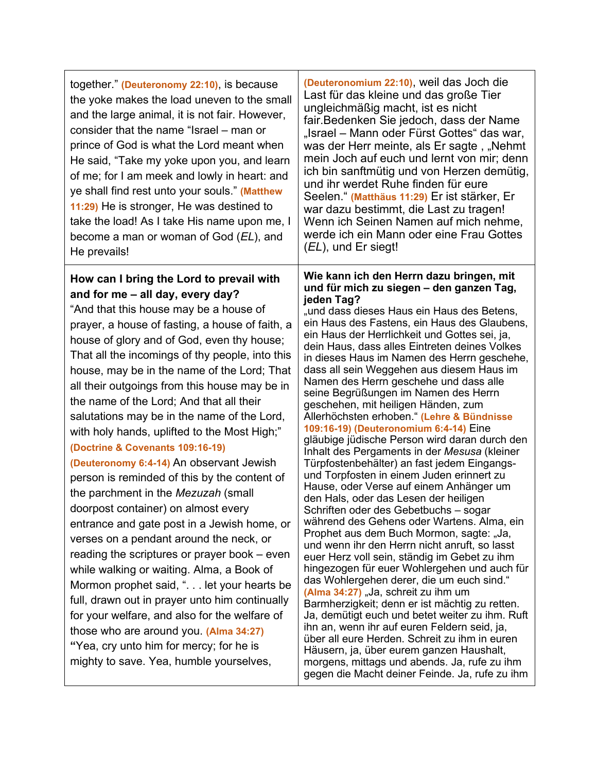| together." (Deuteronomy 22:10), is because<br>the yoke makes the load uneven to the small<br>and the large animal, it is not fair. However,<br>consider that the name "Israel – man or<br>prince of God is what the Lord meant when<br>He said, "Take my yoke upon you, and learn<br>of me; for I am meek and lowly in heart: and<br>ye shall find rest unto your souls." (Matthew<br>11:29) He is stronger, He was destined to<br>take the load! As I take His name upon me, I<br>become a man or woman of God (EL), and<br>He prevails!                                                                                                                                                                                                                                                                                                                                                                                                                                                                                                                                                                                                                                                                   | (Deuteronomium 22:10), weil das Joch die<br>Last für das kleine und das große Tier<br>ungleichmäßig macht, ist es nicht<br>fair. Bedenken Sie jedoch, dass der Name<br>"Israel – Mann oder Fürst Gottes" das war,<br>was der Herr meinte, als Er sagte, "Nehmt<br>mein Joch auf euch und lernt von mir; denn<br>ich bin sanftmütig und von Herzen demütig,<br>und ihr werdet Ruhe finden für eure<br>Seelen." (Matthäus 11:29) Er ist stärker, Er<br>war dazu bestimmt, die Last zu tragen!<br>Wenn ich Seinen Namen auf mich nehme,<br>werde ich ein Mann oder eine Frau Gottes<br>(EL), und Er siegt!                                                                                                                                                                                                                                                                                                                                                                                                                                                                                                                                                                                                                                                                                                                                                                                                                                                                                                                                                                                                                      |
|-------------------------------------------------------------------------------------------------------------------------------------------------------------------------------------------------------------------------------------------------------------------------------------------------------------------------------------------------------------------------------------------------------------------------------------------------------------------------------------------------------------------------------------------------------------------------------------------------------------------------------------------------------------------------------------------------------------------------------------------------------------------------------------------------------------------------------------------------------------------------------------------------------------------------------------------------------------------------------------------------------------------------------------------------------------------------------------------------------------------------------------------------------------------------------------------------------------|------------------------------------------------------------------------------------------------------------------------------------------------------------------------------------------------------------------------------------------------------------------------------------------------------------------------------------------------------------------------------------------------------------------------------------------------------------------------------------------------------------------------------------------------------------------------------------------------------------------------------------------------------------------------------------------------------------------------------------------------------------------------------------------------------------------------------------------------------------------------------------------------------------------------------------------------------------------------------------------------------------------------------------------------------------------------------------------------------------------------------------------------------------------------------------------------------------------------------------------------------------------------------------------------------------------------------------------------------------------------------------------------------------------------------------------------------------------------------------------------------------------------------------------------------------------------------------------------------------------------------|
| How can I bring the Lord to prevail with<br>and for me - all day, every day?<br>"And that this house may be a house of<br>prayer, a house of fasting, a house of faith, a<br>house of glory and of God, even thy house;<br>That all the incomings of thy people, into this<br>house, may be in the name of the Lord; That<br>all their outgoings from this house may be in<br>the name of the Lord; And that all their<br>salutations may be in the name of the Lord,<br>with holy hands, uplifted to the Most High;"<br>(Doctrine & Covenants 109:16-19)<br>(Deuteronomy 6:4-14) An observant Jewish<br>person is reminded of this by the content of<br>the parchment in the Mezuzah (small<br>doorpost container) on almost every<br>entrance and gate post in a Jewish home, or<br>verses on a pendant around the neck, or<br>reading the scriptures or prayer book – even<br>while walking or waiting. Alma, a Book of<br>Mormon prophet said, ". let your hearts be<br>full, drawn out in prayer unto him continually<br>for your welfare, and also for the welfare of<br>those who are around you. (Alma 34:27)<br>"Yea, cry unto him for mercy; for he is<br>mighty to save. Yea, humble yourselves, | Wie kann ich den Herrn dazu bringen, mit<br>und für mich zu siegen - den ganzen Tag,<br>jeden Tag?<br>"und dass dieses Haus ein Haus des Betens,<br>ein Haus des Fastens, ein Haus des Glaubens,<br>ein Haus der Herrlichkeit und Gottes sei, ja,<br>dein Haus, dass alles Eintreten deines Volkes<br>in dieses Haus im Namen des Herrn geschehe,<br>dass all sein Weggehen aus diesem Haus im<br>Namen des Herrn geschehe und dass alle<br>seine Begrüßungen im Namen des Herrn<br>geschehen, mit heiligen Händen, zum<br>Allerhöchsten erhoben." (Lehre & Bündnisse<br>109:16-19) (Deuteronomium 6:4-14) Eine<br>gläubige jüdische Person wird daran durch den<br>Inhalt des Pergaments in der Mesusa (kleiner<br>Türpfostenbehälter) an fast jedem Eingangs-<br>und Torpfosten in einem Juden erinnert zu<br>Hause, oder Verse auf einem Anhänger um<br>den Hals, oder das Lesen der heiligen<br>Schriften oder des Gebetbuchs - sogar<br>während des Gehens oder Wartens. Alma, ein<br>Prophet aus dem Buch Mormon, sagte: "Ja,<br>und wenn ihr den Herrn nicht anruft, so lasst<br>euer Herz voll sein, ständig im Gebet zu ihm<br>hingezogen für euer Wohlergehen und auch für<br>das Wohlergehen derer, die um euch sind."<br>(Alma 34:27) "Ja, schreit zu ihm um<br>Barmherzigkeit; denn er ist mächtig zu retten.<br>Ja, demütigt euch und betet weiter zu ihm. Ruft<br>ihn an, wenn ihr auf euren Feldern seid, ja,<br>über all eure Herden. Schreit zu ihm in euren<br>Häusern, ja, über eurem ganzen Haushalt,<br>morgens, mittags und abends. Ja, rufe zu ihm<br>gegen die Macht deiner Feinde. Ja, rufe zu ihm |

h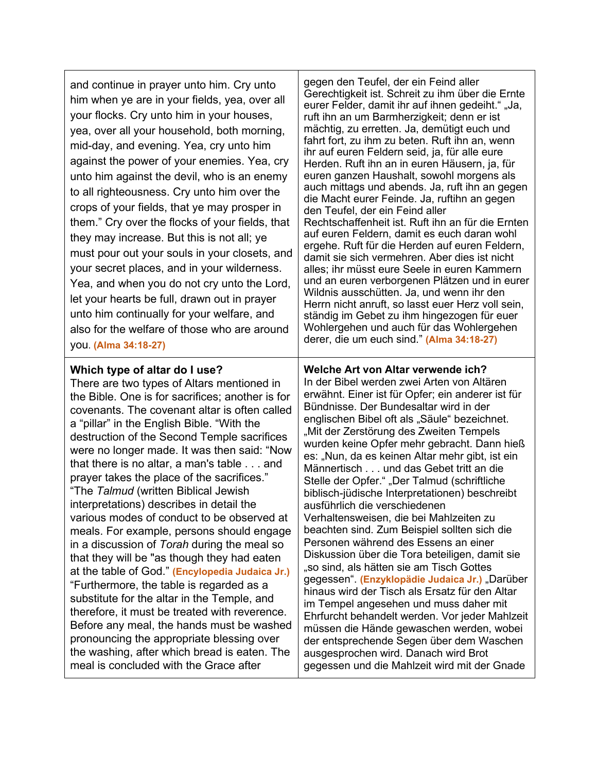and continue in prayer unto him. Cry unto him when ye are in your fields, yea, over all your flocks. Cry unto him in your houses, yea, over all your household, both morning, mid-day, and evening. Yea, cry unto him against the power of your enemies. Yea, cry unto him against the devil, who is an enemy to all righteousness. Cry unto him over the crops of your fields, that ye may prosper in them." Cry over the flocks of your fields, that they may increase. But this is not all; ye must pour out your souls in your closets, and your secret places, and in your wilderness. Yea, and when you do not cry unto the Lord, let your hearts be full, drawn out in prayer unto him continually for your welfare, and also for the welfare of those who are around you. **(Alma 34:18-27)**

#### gegen den Teufel, der ein Feind aller Gerechtigkeit ist. Schreit zu ihm über die Ernte eurer Felder, damit ihr auf ihnen gedeiht." "Ja, ruft ihn an um Barmherzigkeit; denn er ist mächtig, zu erretten. Ja, demütigt euch und fahrt fort, zu ihm zu beten. Ruft ihn an, wenn ihr auf euren Feldern seid, ja, für alle eure Herden. Ruft ihn an in euren Häusern, ja, für euren ganzen Haushalt, sowohl morgens als auch mittags und abends. Ja, ruft ihn an gegen die Macht eurer Feinde. Ja, ruftihn an gegen den Teufel, der ein Feind aller Rechtschaffenheit ist. Ruft ihn an für die Ernten auf euren Feldern, damit es euch daran wohl ergehe. Ruft für die Herden auf euren Feldern, damit sie sich vermehren. Aber dies ist nicht alles; ihr müsst eure Seele in euren Kammern und an euren verborgenen Plätzen und in eurer Wildnis ausschütten. Ja, und wenn ihr den Herrn nicht anruft, so lasst euer Herz voll sein, ständig im Gebet zu ihm hingezogen für euer Wohlergehen und auch für das Wohlergehen derer, die um euch sind." **(Alma 34:18-27)**

### **Which type of altar do I use?**

There are two types of Altars mentioned in the Bible. One is for sacrifices; another is for covenants. The covenant altar is often called a "pillar" in the English Bible. "With the destruction of the Second Temple sacrifices were no longer made. It was then said: "Now that there is no altar, a man's table . . . and prayer takes the place of the sacrifices." "The *Talmud* (written Biblical Jewish interpretations) describes in detail the various modes of conduct to be observed at meals. For example, persons should engage in a discussion of *Torah* during the meal so that they will be "as though they had eaten at the table of God." **(Encylopedia Judaica Jr.)** "Furthermore, the table is regarded as a substitute for the altar in the Temple, and therefore, it must be treated with reverence. Before any meal, the hands must be washed pronouncing the appropriate blessing over the washing, after which bread is eaten. The meal is concluded with the Grace after

**Welche Art von Altar verwende ich?** In der Bibel werden zwei Arten von Altären erwähnt. Einer ist für Opfer; ein anderer ist für Bündnisse. Der Bundesaltar wird in der englischen Bibel oft als "Säule" bezeichnet. "Mit der Zerstörung des Zweiten Tempels wurden keine Opfer mehr gebracht. Dann hieß es: "Nun, da es keinen Altar mehr gibt, ist ein Männertisch . . . und das Gebet tritt an die Stelle der Opfer." "Der Talmud (schriftliche biblisch-jüdische Interpretationen) beschreibt ausführlich die verschiedenen Verhaltensweisen, die bei Mahlzeiten zu beachten sind. Zum Beispiel sollten sich die Personen während des Essens an einer Diskussion über die Tora beteiligen, damit sie "so sind, als hätten sie am Tisch Gottes gegessen". (Enzyklopädie Judaica Jr.) "Darüber hinaus wird der Tisch als Ersatz für den Altar im Tempel angesehen und muss daher mit Ehrfurcht behandelt werden. Vor jeder Mahlzeit müssen die Hände gewaschen werden, wobei der entsprechende Segen über dem Waschen ausgesprochen wird. Danach wird Brot gegessen und die Mahlzeit wird mit der Gnade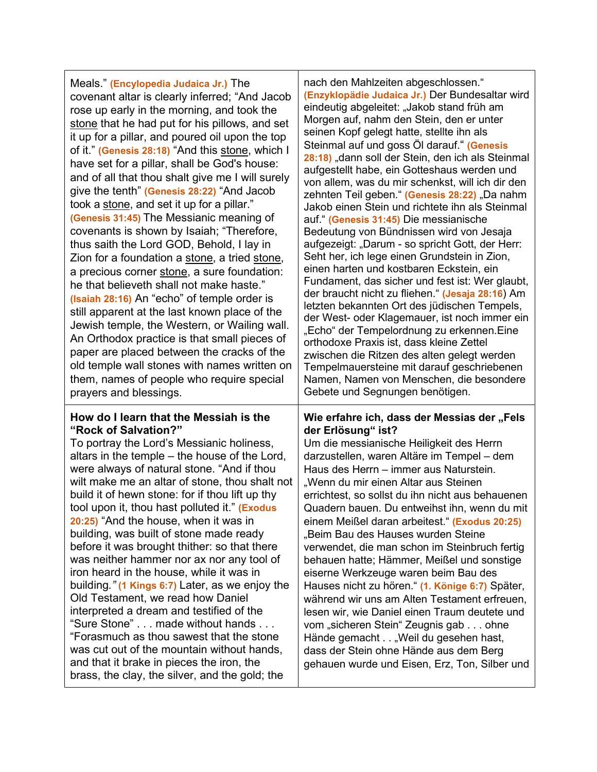| Meals." (Encylopedia Judaica Jr.) The<br>covenant altar is clearly inferred; "And Jacob<br>rose up early in the morning, and took the<br>stone that he had put for his pillows, and set<br>it up for a pillar, and poured oil upon the top<br>of it." (Genesis 28:18) "And this stone, which I<br>have set for a pillar, shall be God's house:<br>and of all that thou shalt give me I will surely<br>give the tenth" (Genesis 28:22) "And Jacob<br>took a stone, and set it up for a pillar."<br>(Genesis 31:45) The Messianic meaning of<br>covenants is shown by Isaiah; "Therefore,<br>thus saith the Lord GOD, Behold, I lay in<br>Zion for a foundation a stone, a tried stone,<br>a precious corner stone, a sure foundation:<br>he that believeth shall not make haste."<br>(Isaiah 28:16) An "echo" of temple order is<br>still apparent at the last known place of the<br>Jewish temple, the Western, or Wailing wall.<br>An Orthodox practice is that small pieces of<br>paper are placed between the cracks of the<br>old temple wall stones with names written on<br>them, names of people who require special<br>prayers and blessings. | nach den Mahlzeiten abgeschlossen."<br>(Enzyklopädie Judaica Jr.) Der Bundesaltar wird<br>eindeutig abgeleitet: "Jakob stand früh am<br>Morgen auf, nahm den Stein, den er unter<br>seinen Kopf gelegt hatte, stellte ihn als<br>Steinmal auf und goss Öl darauf " (Genesis<br>28:18) "dann soll der Stein, den ich als Steinmal<br>aufgestellt habe, ein Gotteshaus werden und<br>von allem, was du mir schenkst, will ich dir den<br>zehnten Teil geben." (Genesis 28:22) "Da nahm<br>Jakob einen Stein und richtete ihn als Steinmal<br>auf." (Genesis 31:45) Die messianische<br>Bedeutung von Bündnissen wird von Jesaja<br>aufgezeigt: "Darum - so spricht Gott, der Herr:<br>Seht her, ich lege einen Grundstein in Zion,<br>einen harten und kostbaren Eckstein, ein<br>Fundament, das sicher und fest ist: Wer glaubt,<br>der braucht nicht zu fliehen." (Jesaja 28:16) Am<br>letzten bekannten Ort des jüdischen Tempels,<br>der West- oder Klagemauer, ist noch immer ein<br>"Echo" der Tempelordnung zu erkennen. Eine<br>orthodoxe Praxis ist, dass kleine Zettel<br>zwischen die Ritzen des alten gelegt werden<br>Tempelmauersteine mit darauf geschriebenen<br>Namen, Namen von Menschen, die besondere<br>Gebete und Segnungen benötigen. |
|-------------------------------------------------------------------------------------------------------------------------------------------------------------------------------------------------------------------------------------------------------------------------------------------------------------------------------------------------------------------------------------------------------------------------------------------------------------------------------------------------------------------------------------------------------------------------------------------------------------------------------------------------------------------------------------------------------------------------------------------------------------------------------------------------------------------------------------------------------------------------------------------------------------------------------------------------------------------------------------------------------------------------------------------------------------------------------------------------------------------------------------------------------|------------------------------------------------------------------------------------------------------------------------------------------------------------------------------------------------------------------------------------------------------------------------------------------------------------------------------------------------------------------------------------------------------------------------------------------------------------------------------------------------------------------------------------------------------------------------------------------------------------------------------------------------------------------------------------------------------------------------------------------------------------------------------------------------------------------------------------------------------------------------------------------------------------------------------------------------------------------------------------------------------------------------------------------------------------------------------------------------------------------------------------------------------------------------------------------------------------------------------------------------------------|
| How do I learn that the Messiah is the<br>"Rock of Salvation?"<br>To portray the Lord's Messianic holiness,<br>altars in the temple – the house of the Lord,<br>were always of natural stone. "And if thou<br>wilt make me an altar of stone, thou shalt not<br>build it of hewn stone: for if thou lift up thy<br>tool upon it, thou hast polluted it." (Exodus<br>20:25) "And the house, when it was in<br>building, was built of stone made ready<br>before it was brought thither: so that there<br>was neither hammer nor ax nor any tool of<br>iron heard in the house, while it was in<br>building." (1 Kings 6:7) Later, as we enjoy the<br>Old Testament, we read how Daniel<br>interpreted a dream and testified of the<br>"Sure Stone" made without hands<br>"Forasmuch as thou sawest that the stone<br>was cut out of the mountain without hands,<br>and that it brake in pieces the iron, the<br>brass, the clay, the silver, and the gold; the                                                                                                                                                                                         | Wie erfahre ich, dass der Messias der "Fels<br>der Erlösung" ist?<br>Um die messianische Heiligkeit des Herrn<br>darzustellen, waren Altäre im Tempel - dem<br>Haus des Herrn – immer aus Naturstein.<br>"Wenn du mir einen Altar aus Steinen<br>errichtest, so sollst du ihn nicht aus behauenen<br>Quadern bauen. Du entweihst ihn, wenn du mit<br>einem Meißel daran arbeitest." (Exodus 20:25)<br>"Beim Bau des Hauses wurden Steine<br>verwendet, die man schon im Steinbruch fertig<br>behauen hatte; Hämmer, Meißel und sonstige<br>eiserne Werkzeuge waren beim Bau des<br>Hauses nicht zu hören." (1. Könige 6:7) Später,<br>während wir uns am Alten Testament erfreuen,<br>lesen wir, wie Daniel einen Traum deutete und<br>vom "sicheren Stein" Zeugnis gab ohne<br>Hände gemacht "Weil du gesehen hast,<br>dass der Stein ohne Hände aus dem Berg<br>gehauen wurde und Eisen, Erz, Ton, Silber und                                                                                                                                                                                                                                                                                                                                            |

⊤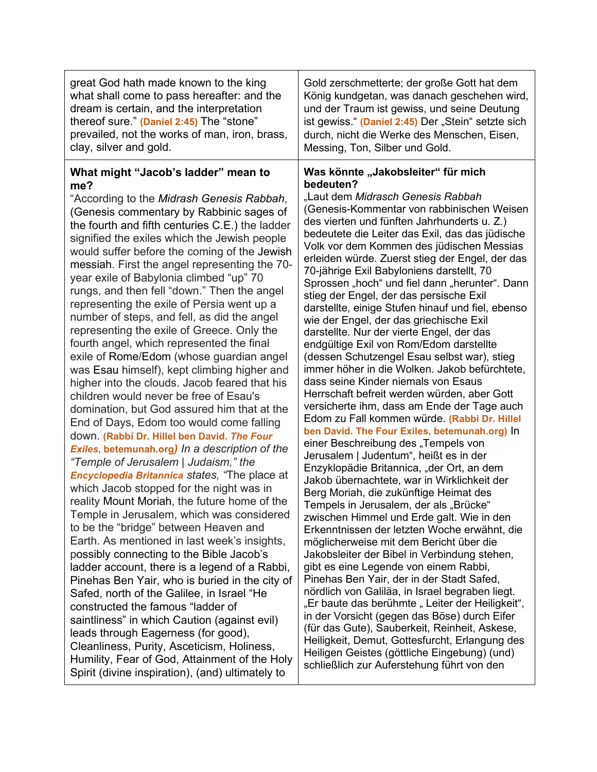| great God hath made known to the king                                                                                                                                                                                                                                                                                                                                                                                                                                                                                                                                                                                                                                                                                                                                                                                                                                                                                                                                                                                                                                                                                                                                                                                                                                                                                                                                                                                                                                                                                                                                                                                                                                                                                                                                                                                     | Gold zerschmetterte; der große Gott hat dem                                                                                                                                                                                                                                                                                                                                                                                                                                                                                                                                                                                                                                                                                                                                                                                                                                                                                                                                                                                                                                                                                                                                                                                                                                                                                                                                                                                                                                                                                                                                                                                                                                                                                                                                                                                                                                                                        |
|---------------------------------------------------------------------------------------------------------------------------------------------------------------------------------------------------------------------------------------------------------------------------------------------------------------------------------------------------------------------------------------------------------------------------------------------------------------------------------------------------------------------------------------------------------------------------------------------------------------------------------------------------------------------------------------------------------------------------------------------------------------------------------------------------------------------------------------------------------------------------------------------------------------------------------------------------------------------------------------------------------------------------------------------------------------------------------------------------------------------------------------------------------------------------------------------------------------------------------------------------------------------------------------------------------------------------------------------------------------------------------------------------------------------------------------------------------------------------------------------------------------------------------------------------------------------------------------------------------------------------------------------------------------------------------------------------------------------------------------------------------------------------------------------------------------------------|--------------------------------------------------------------------------------------------------------------------------------------------------------------------------------------------------------------------------------------------------------------------------------------------------------------------------------------------------------------------------------------------------------------------------------------------------------------------------------------------------------------------------------------------------------------------------------------------------------------------------------------------------------------------------------------------------------------------------------------------------------------------------------------------------------------------------------------------------------------------------------------------------------------------------------------------------------------------------------------------------------------------------------------------------------------------------------------------------------------------------------------------------------------------------------------------------------------------------------------------------------------------------------------------------------------------------------------------------------------------------------------------------------------------------------------------------------------------------------------------------------------------------------------------------------------------------------------------------------------------------------------------------------------------------------------------------------------------------------------------------------------------------------------------------------------------------------------------------------------------------------------------------------------------|
| what shall come to pass hereafter: and the                                                                                                                                                                                                                                                                                                                                                                                                                                                                                                                                                                                                                                                                                                                                                                                                                                                                                                                                                                                                                                                                                                                                                                                                                                                                                                                                                                                                                                                                                                                                                                                                                                                                                                                                                                                | König kundgetan, was danach geschehen wird,                                                                                                                                                                                                                                                                                                                                                                                                                                                                                                                                                                                                                                                                                                                                                                                                                                                                                                                                                                                                                                                                                                                                                                                                                                                                                                                                                                                                                                                                                                                                                                                                                                                                                                                                                                                                                                                                        |
| dream is certain, and the interpretation                                                                                                                                                                                                                                                                                                                                                                                                                                                                                                                                                                                                                                                                                                                                                                                                                                                                                                                                                                                                                                                                                                                                                                                                                                                                                                                                                                                                                                                                                                                                                                                                                                                                                                                                                                                  | und der Traum ist gewiss, und seine Deutung                                                                                                                                                                                                                                                                                                                                                                                                                                                                                                                                                                                                                                                                                                                                                                                                                                                                                                                                                                                                                                                                                                                                                                                                                                                                                                                                                                                                                                                                                                                                                                                                                                                                                                                                                                                                                                                                        |
| thereof sure." (Daniel 2:45) The "stone"                                                                                                                                                                                                                                                                                                                                                                                                                                                                                                                                                                                                                                                                                                                                                                                                                                                                                                                                                                                                                                                                                                                                                                                                                                                                                                                                                                                                                                                                                                                                                                                                                                                                                                                                                                                  | ist gewiss." (Daniel 2:45) Der "Stein" setzte sich                                                                                                                                                                                                                                                                                                                                                                                                                                                                                                                                                                                                                                                                                                                                                                                                                                                                                                                                                                                                                                                                                                                                                                                                                                                                                                                                                                                                                                                                                                                                                                                                                                                                                                                                                                                                                                                                 |
| prevailed, not the works of man, iron, brass,                                                                                                                                                                                                                                                                                                                                                                                                                                                                                                                                                                                                                                                                                                                                                                                                                                                                                                                                                                                                                                                                                                                                                                                                                                                                                                                                                                                                                                                                                                                                                                                                                                                                                                                                                                             | durch, nicht die Werke des Menschen, Eisen,                                                                                                                                                                                                                                                                                                                                                                                                                                                                                                                                                                                                                                                                                                                                                                                                                                                                                                                                                                                                                                                                                                                                                                                                                                                                                                                                                                                                                                                                                                                                                                                                                                                                                                                                                                                                                                                                        |
| clay, silver and gold.                                                                                                                                                                                                                                                                                                                                                                                                                                                                                                                                                                                                                                                                                                                                                                                                                                                                                                                                                                                                                                                                                                                                                                                                                                                                                                                                                                                                                                                                                                                                                                                                                                                                                                                                                                                                    | Messing, Ton, Silber und Gold.                                                                                                                                                                                                                                                                                                                                                                                                                                                                                                                                                                                                                                                                                                                                                                                                                                                                                                                                                                                                                                                                                                                                                                                                                                                                                                                                                                                                                                                                                                                                                                                                                                                                                                                                                                                                                                                                                     |
| What might "Jacob's ladder" mean to<br>me?<br>"According to the Midrash Genesis Rabbah,<br>(Genesis commentary by Rabbinic sages of<br>the fourth and fifth centuries C.E.) the ladder<br>signified the exiles which the Jewish people<br>would suffer before the coming of the Jewish<br>messiah. First the angel representing the 70-<br>year exile of Babylonia climbed "up" 70<br>rungs, and then fell "down." Then the angel<br>representing the exile of Persia went up a<br>number of steps, and fell, as did the angel<br>representing the exile of Greece. Only the<br>fourth angel, which represented the final<br>exile of Rome/Edom (whose guardian angel<br>was Esau himself), kept climbing higher and<br>higher into the clouds. Jacob feared that his<br>children would never be free of Esau's<br>domination, but God assured him that at the<br>End of Days, Edom too would come falling<br>down. (Rabbi Dr. Hillel ben David. The Four<br>Exiles, betemunah.org) In a description of the<br>"Temple of Jerusalem   Judaism," the<br><b>Encyclopedia Britannica states, "The place at</b><br>which Jacob stopped for the night was in<br>reality Mount Moriah, the future home of the<br>Temple in Jerusalem, which was considered<br>to be the "bridge" between Heaven and<br>Earth. As mentioned in last week's insights,<br>possibly connecting to the Bible Jacob's<br>ladder account, there is a legend of a Rabbi,<br>Pinehas Ben Yair, who is buried in the city of<br>Safed, north of the Galilee, in Israel "He<br>constructed the famous "ladder of<br>saintliness" in which Caution (against evil)<br>leads through Eagerness (for good),<br>Cleanliness, Purity, Asceticism, Holiness,<br>Humility, Fear of God, Attainment of the Holy<br>Spirit (divine inspiration), (and) ultimately to | Was könnte "Jakobsleiter" für mich<br>bedeuten?<br>"Laut dem Midrasch Genesis Rabbah<br>(Genesis-Kommentar von rabbinischen Weisen<br>des vierten und fünften Jahrhunderts u. Z.)<br>bedeutete die Leiter das Exil, das das jüdische<br>Volk vor dem Kommen des jüdischen Messias<br>erleiden würde. Zuerst stieg der Engel, der das<br>70-jährige Exil Babyloniens darstellt, 70<br>Sprossen "hoch" und fiel dann "herunter". Dann<br>stieg der Engel, der das persische Exil<br>darstellte, einige Stufen hinauf und fiel, ebenso<br>wie der Engel, der das griechische Exil<br>darstellte. Nur der vierte Engel, der das<br>endgültige Exil von Rom/Edom darstellte<br>(dessen Schutzengel Esau selbst war), stieg<br>immer höher in die Wolken. Jakob befürchtete,<br>dass seine Kinder niemals von Esaus<br>Herrschaft befreit werden würden, aber Gott<br>versicherte ihm, dass am Ende der Tage auch<br>Edom zu Fall kommen würde. (Rabbi Dr. Hillel<br>ben David. The Four Exiles, betemunah.org) In<br>einer Beschreibung des "Tempels von<br>Jerusalem   Judentum", heißt es in der<br>Enzyklopädie Britannica, "der Ort, an dem<br>Jakob übernachtete, war in Wirklichkeit der<br>Berg Moriah, die zukünftige Heimat des<br>Tempels in Jerusalem, der als "Brücke"<br>zwischen Himmel und Erde galt. Wie in den<br>Erkenntnissen der letzten Woche erwähnt, die<br>möglicherweise mit dem Bericht über die<br>Jakobsleiter der Bibel in Verbindung stehen,<br>gibt es eine Legende von einem Rabbi,<br>Pinehas Ben Yair, der in der Stadt Safed,<br>nördlich von Galiläa, in Israel begraben liegt.<br>"Er baute das berühmte "Leiter der Heiligkeit",<br>in der Vorsicht (gegen das Böse) durch Eifer<br>(für das Gute), Sauberkeit, Reinheit, Askese,<br>Heiligkeit, Demut, Gottesfurcht, Erlangung des<br>Heiligen Geistes (göttliche Eingebung) (und)<br>schließlich zur Auferstehung führt von den |